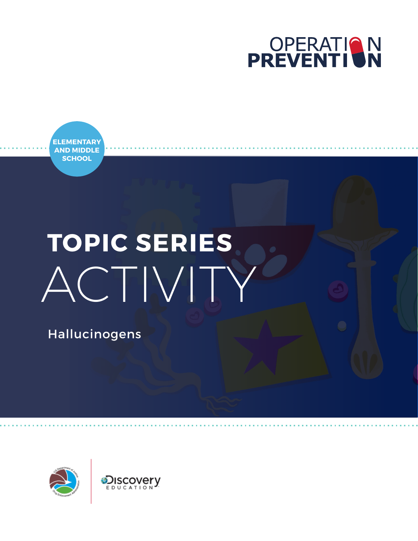

**ELEMENTARY AND MIDDLE SCHOOL**

# **TOPIC SERIES** ACTIVITY

Hallucinogens

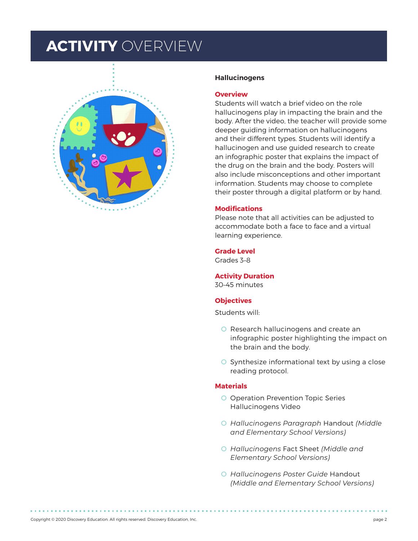### **ACTIVITY** OVERVIEW



#### **Hallucinogens**

#### **Overview**

Students will watch a brief video on the role hallucinogens play in impacting the brain and the body. After the video, the teacher will provide some deeper guiding information on hallucinogens and their different types. Students will identify a hallucinogen and use guided research to create an infographic poster that explains the impact of the drug on the brain and the body. Posters will also include misconceptions and other important information. Students may choose to complete their poster through a digital platform or by hand.

### **Modifications**

Please note that all activities can be adjusted to accommodate both a face to face and a virtual learning experience.

#### **Grade Level**

Grades 3–8

### **Activity Duration**

30–45 minutes

### **Objectives**

Students will:

- O Research hallucinogens and create an infographic poster highlighting the impact on the brain and the body.
- O Synthesize informational text by using a close reading protocol.

### **Materials**

- O Operation Prevention Topic Series Hallucinogens Video
- O *Hallucinogens Paragraph* Handout *(Middle and Elementary School Versions)*
- O *Hallucinogens* Fact Sheet *(Middle and Elementary School Versions)*
- O *Hallucinogens Poster Guide* Handout *(Middle and Elementary School Versions)*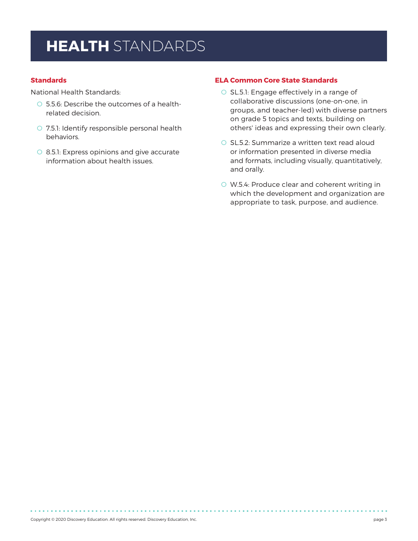# **HEALTH** STANDARDS

### **Standards**

National Health Standards:

- O 5.5.6: Describe the outcomes of a healthrelated decision.
- O 7.5.1: Identify responsible personal health behaviors.
- O 8.5.1: Express opinions and give accurate information about health issues.

### **ELA Common Core State Standards**

- O SL.5.1: Engage effectively in a range of collaborative discussions (one-on-one, in groups, and teacher-led) with diverse partners on grade 5 topics and texts, building on others' ideas and expressing their own clearly.
- O SL.5.2: Summarize a written text read aloud or information presented in diverse media and formats, including visually, quantitatively, and orally.
- O W.5.4: Produce clear and coherent writing in which the development and organization are appropriate to task, purpose, and audience.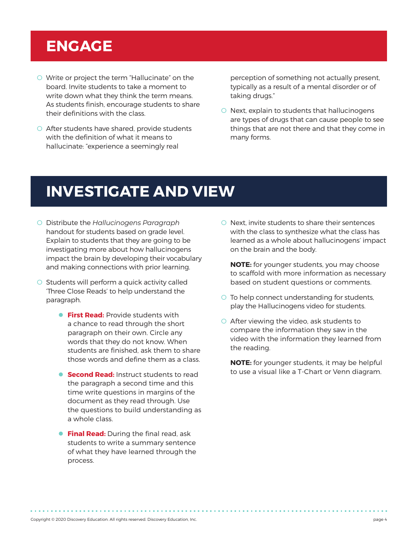# **ENGAGE**

- O Write or project the term "Hallucinate" on the board. Invite students to take a moment to write down what they think the term means. As students finish, encourage students to share their definitions with the class.
- O After students have shared, provide students with the definition of what it means to hallucinate: "experience a seemingly real

perception of something not actually present, typically as a result of a mental disorder or of taking drugs."

O Next, explain to students that hallucinogens are types of drugs that can cause people to see things that are not there and that they come in many forms.

### **INVESTIGATE AND VIEW**

- O Distribute the *Hallucinogens Paragraph*  handout for students based on grade level. Explain to students that they are going to be investigating more about how hallucinogens impact the brain by developing their vocabulary and making connections with prior learning.
- O Students will perform a quick activity called 'Three Close Reads' to help understand the paragraph.
	- **First Read:** Provide students with a chance to read through the short paragraph on their own. Circle any words that they do not know. When students are finished, ask them to share those words and define them as a class.
	- **Second Read:** Instruct students to read the paragraph a second time and this time write questions in margins of the document as they read through. Use the questions to build understanding as a whole class.
	- **Final Read:** During the final read, ask students to write a summary sentence of what they have learned through the process.

O Next, invite students to share their sentences with the class to synthesize what the class has learned as a whole about hallucinogens' impact on the brain and the body.

**NOTE:** for younger students, you may choose to scaffold with more information as necessary based on student questions or comments.

- O To help connect understanding for students, play the Hallucinogens video for students.
- O After viewing the video, ask students to compare the information they saw in the video with the information they learned from the reading.

**NOTE:** for younger students, it may be helpful to use a visual like a T-Chart or Venn diagram.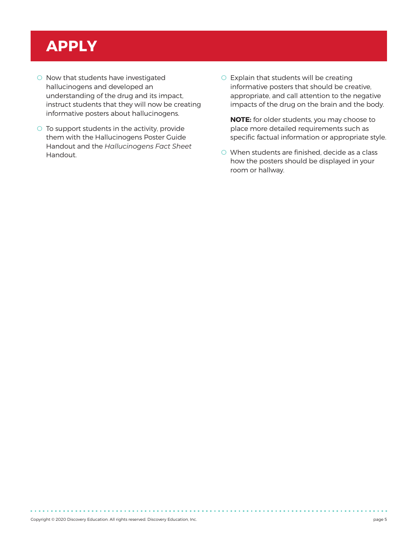# **APPLY**

- O Now that students have investigated hallucinogens and developed an understanding of the drug and its impact, instruct students that they will now be creating informative posters about hallucinogens.
- O To support students in the activity, provide them with the Hallucinogens Poster Guide Handout and the *Hallucinogens Fact Sheet* Handout.
- O Explain that students will be creating informative posters that should be creative, appropriate, and call attention to the negative impacts of the drug on the brain and the body.

**NOTE:** for older students, you may choose to place more detailed requirements such as specific factual information or appropriate style.

O When students are finished, decide as a class how the posters should be displayed in your room or hallway.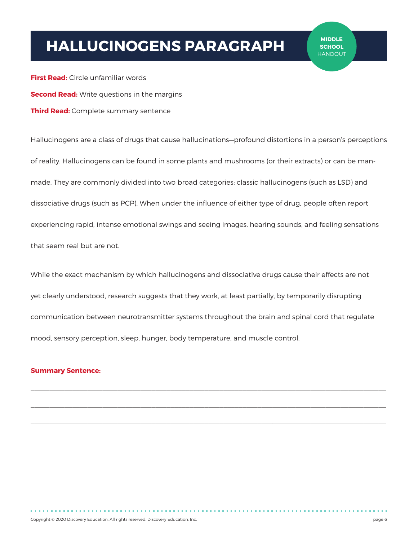## **HALLUCINOGENS PARAGRAPH**

**First Read:** Circle unfamiliar words **Second Read:** Write questions in the margins **Third Read:** Complete summary sentence

Hallucinogens are a class of drugs that cause hallucinations—profound distortions in a person's perceptions of reality. Hallucinogens can be found in some plants and mushrooms (or their extracts) or can be manmade. They are commonly divided into two broad categories: classic hallucinogens (such as LSD) and dissociative drugs (such as PCP). When under the influence of either type of drug, people often report experiencing rapid, intense emotional swings and seeing images, hearing sounds, and feeling sensations that seem real but are not.

While the exact mechanism by which hallucinogens and dissociative drugs cause their effects are not yet clearly understood, research suggests that they work, at least partially, by temporarily disrupting communication between neurotransmitter systems throughout the brain and spinal cord that regulate mood, sensory perception, sleep, hunger, body temperature, and muscle control.

 $\mathcal{L}_\mathcal{L} = \mathcal{L}_\mathcal{L}$ 

### **Summary Sentence:**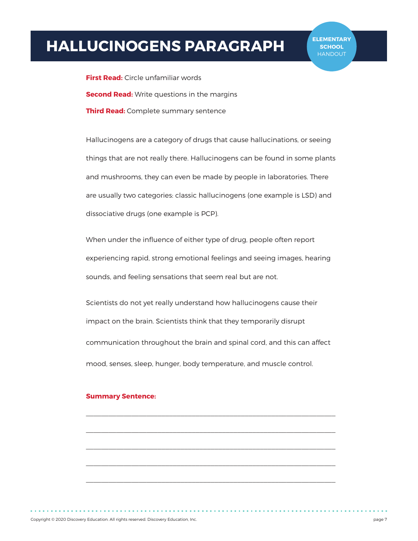## **HALLUCINOGENS PARAGRAPH**

**First Read:** Circle unfamiliar words **Second Read:** Write questions in the margins **Third Read:** Complete summary sentence

Hallucinogens are a category of drugs that cause hallucinations, or seeing things that are not really there. Hallucinogens can be found in some plants and mushrooms, they can even be made by people in laboratories. There are usually two categories: classic hallucinogens (one example is LSD) and dissociative drugs (one example is PCP).

When under the influence of either type of drug, people often report experiencing rapid, strong emotional feelings and seeing images, hearing sounds, and feeling sensations that seem real but are not.

Scientists do not yet really understand how hallucinogens cause their impact on the brain. Scientists think that they temporarily disrupt communication throughout the brain and spinal cord, and this can affect mood, senses, sleep, hunger, body temperature, and muscle control.

 $\mathcal{L}_\text{max}$ 

 $\mathcal{L}_\text{max}$ 

#### **Summary Sentence:**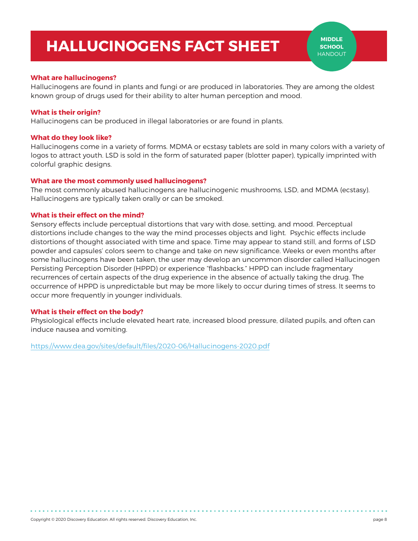### **HALLUCINOGENS FACT SHEET**

### **What are hallucinogens?**

Hallucinogens are found in plants and fungi or are produced in laboratories. They are among the oldest known group of drugs used for their ability to alter human perception and mood.

### **What is their origin?**

Hallucinogens can be produced in illegal laboratories or are found in plants.

### **What do they look like?**

Hallucinogens come in a variety of forms. MDMA or ecstasy tablets are sold in many colors with a variety of logos to attract youth. LSD is sold in the form of saturated paper (blotter paper), typically imprinted with colorful graphic designs.

### **What are the most commonly used hallucinogens?**

The most commonly abused hallucinogens are hallucinogenic mushrooms, LSD, and MDMA (ecstasy). Hallucinogens are typically taken orally or can be smoked.

### **What is their effect on the mind?**

Sensory effects include perceptual distortions that vary with dose, setting, and mood. Perceptual distortions include changes to the way the mind processes objects and light. Psychic effects include distortions of thought associated with time and space. Time may appear to stand still, and forms of LSD powder and capsules' colors seem to change and take on new significance. Weeks or even months after some hallucinogens have been taken, the user may develop an uncommon disorder called Hallucinogen Persisting Perception Disorder (HPPD) or experience "flashbacks." HPPD can include fragmentary recurrences of certain aspects of the drug experience in the absence of actually taking the drug. The occurrence of HPPD is unpredictable but may be more likely to occur during times of stress. It seems to occur more frequently in younger individuals.

### **What is their effect on the body?**

Physiological effects include elevated heart rate, increased blood pressure, dilated pupils, and often can induce nausea and vomiting.

<https://www.dea.gov/sites/default/files/2020-06/Hallucinogens-2020.pdf>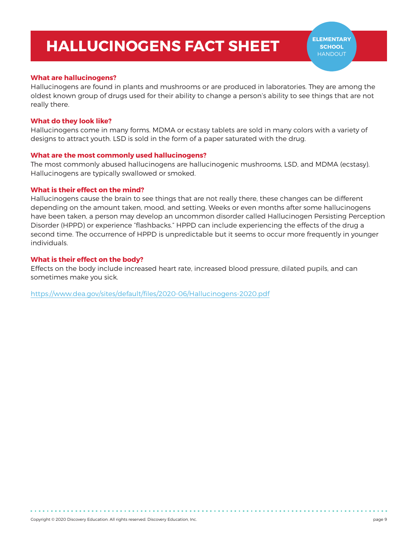### **HALLUCINOGENS FACT SHEET**

### **What are hallucinogens?**

Hallucinogens are found in plants and mushrooms or are produced in laboratories. They are among the oldest known group of drugs used for their ability to change a person's ability to see things that are not really there.

### **What do they look like?**

Hallucinogens come in many forms. MDMA or ecstasy tablets are sold in many colors with a variety of designs to attract youth. LSD is sold in the form of a paper saturated with the drug.

### **What are the most commonly used hallucinogens?**

The most commonly abused hallucinogens are hallucinogenic mushrooms, LSD, and MDMA (ecstasy). Hallucinogens are typically swallowed or smoked.

### **What is their effect on the mind?**

Hallucinogens cause the brain to see things that are not really there, these changes can be different depending on the amount taken, mood, and setting. Weeks or even months after some hallucinogens have been taken, a person may develop an uncommon disorder called Hallucinogen Persisting Perception Disorder (HPPD) or experience "flashbacks." HPPD can include experiencing the effects of the drug a second time. The occurrence of HPPD is unpredictable but it seems to occur more frequently in younger individuals.

### **What is their effect on the body?**

Effects on the body include increased heart rate, increased blood pressure, dilated pupils, and can sometimes make you sick.

<https://www.dea.gov/sites/default/files/2020-06/Hallucinogens-2020.pdf>